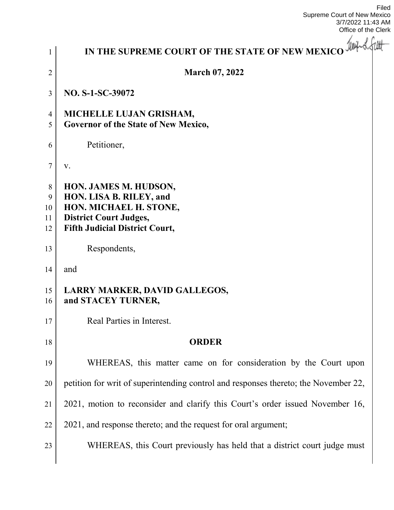Filed Supreme Court of New Mexico 3/7/2022 11:43 AM Office of the Clerk

| 1                        | IN THE SUPREME COURT OF THE STATE OF NEW MEXICO WARS of the                                                                                          |
|--------------------------|------------------------------------------------------------------------------------------------------------------------------------------------------|
| $\overline{2}$           | <b>March 07, 2022</b>                                                                                                                                |
| 3                        | NO. S-1-SC-39072                                                                                                                                     |
| $\overline{4}$<br>5      | MICHELLE LUJAN GRISHAM,<br>Governor of the State of New Mexico,                                                                                      |
| 6                        | Petitioner,                                                                                                                                          |
| 7                        | V.                                                                                                                                                   |
| 8<br>9<br>10<br>11<br>12 | HON. JAMES M. HUDSON,<br>HON. LISA B. RILEY, and<br>HON. MICHAEL H. STONE,<br><b>District Court Judges,</b><br><b>Fifth Judicial District Court,</b> |
| 13                       | Respondents,                                                                                                                                         |
| 14                       | and                                                                                                                                                  |
| 15<br>16                 | <b>LARRY MARKER, DAVID GALLEGOS,</b><br>and STACEY TURNER,                                                                                           |
| 17                       | Real Parties in Interest.                                                                                                                            |
| 18                       | <b>ORDER</b>                                                                                                                                         |
| 19                       | WHEREAS, this matter came on for consideration by the Court upon                                                                                     |
| 20                       | petition for writ of superintending control and responses thereto; the November 22,                                                                  |
| 21                       | 2021, motion to reconsider and clarify this Court's order issued November 16,                                                                        |
| 22                       | 2021, and response thereto; and the request for oral argument;                                                                                       |
| 23                       | WHEREAS, this Court previously has held that a district court judge must                                                                             |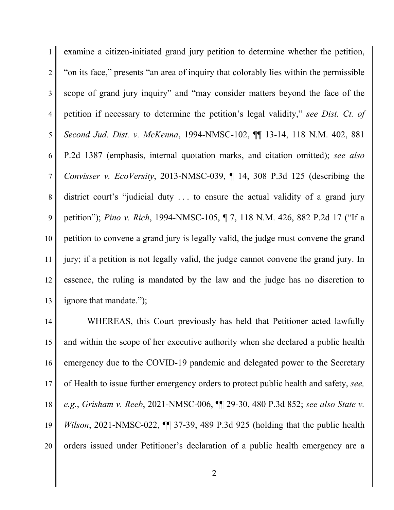examine a citizen-initiated grand jury petition to determine whether the petition, 2 "on its face," presents "an area of inquiry that colorably lies within the permissible scope of grand jury inquiry" and "may consider matters beyond the face of the petition if necessary to determine the petition's legal validity," *see Dist. Ct. of Second Jud. Dist. v. McKenna*, 1994-NMSC-102, ¶¶ 13-14, 118 N.M. 402, 881 P.2d 1387 (emphasis, internal quotation marks, and citation omitted); *see also Convisser v. EcoVersity*, 2013-NMSC-039, ¶ 14, 308 P.3d 125 (describing the district court's "judicial duty . . . to ensure the actual validity of a grand jury petition"); *Pino v. Rich*, 1994-NMSC-105, ¶ 7, 118 N.M. 426, 882 P.2d 17 ("If a petition to convene a grand jury is legally valid, the judge must convene the grand jury; if a petition is not legally valid, the judge cannot convene the grand jury. In essence, the ruling is mandated by the law and the judge has no discretion to 13 ignore that mandate.");

14 WHEREAS, this Court previously has held that Petitioner acted lawfully and within the scope of her executive authority when she declared a public health 16 emergency due to the COVID-19 pandemic and delegated power to the Secretary of Health to issue further emergency orders to protect public health and safety, *see, e.g.*, *Grisham v. Reeb*, 2021-NMSC-006, ¶¶ 29-30, 480 P.3d 852; *see also State v. Wilson*, 2021-NMSC-022, ¶¶ 37-39, 489 P.3d 925 (holding that the public health 20 orders issued under Petitioner's declaration of a public health emergency are a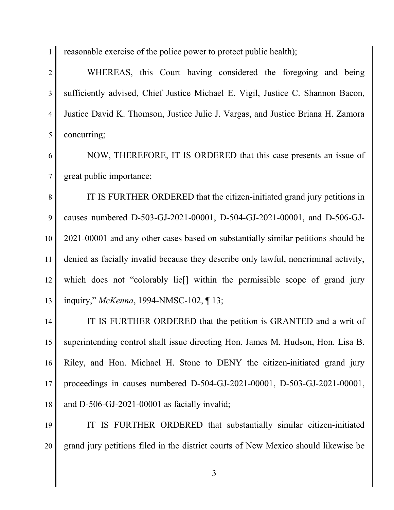1 reasonable exercise of the police power to protect public health);

 WHEREAS, this Court having considered the foregoing and being sufficiently advised, Chief Justice Michael E. Vigil, Justice C. Shannon Bacon, Justice David K. Thomson, Justice Julie J. Vargas, and Justice Briana H. Zamora 5 concurring;

 NOW, THEREFORE, IT IS ORDERED that this case presents an issue of great public importance;

8 IT IS FURTHER ORDERED that the citizen-initiated grand jury petitions in 9 causes numbered D-503-GJ-2021-00001, D-504-GJ-2021-00001, and D-506-GJ- 2021-00001 and any other cases based on substantially similar petitions should be denied as facially invalid because they describe only lawful, noncriminal activity, which does not "colorably lie[] within the permissible scope of grand jury inquiry," *McKenna*, 1994-NMSC-102, ¶ 13;

14 IT IS FURTHER ORDERED that the petition is GRANTED and a writ of superintending control shall issue directing Hon. James M. Hudson, Hon. Lisa B. Riley, and Hon. Michael H. Stone to DENY the citizen-initiated grand jury proceedings in causes numbered D-504-GJ-2021-00001, D-503-GJ-2021-00001,  $\parallel$  and D-506-GJ-2021-00001 as facially invalid;

 IT IS FURTHER ORDERED that substantially similar citizen-initiated grand jury petitions filed in the district courts of New Mexico should likewise be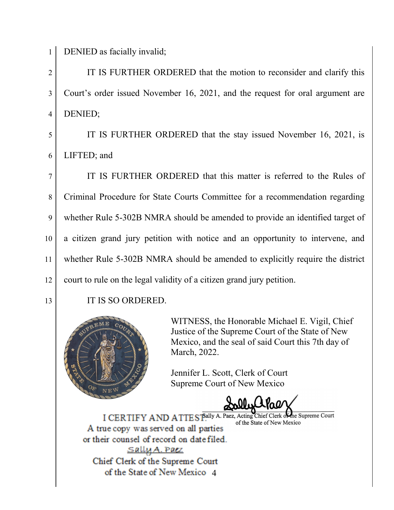1 DENIED as facially invalid;

2 I IT IS FURTHER ORDERED that the motion to reconsider and clarify this 3 Court's order issued November 16, 2021, and the request for oral argument are 4 DENIED;

5 IT IS FURTHER ORDERED that the stay issued November 16, 2021, is 6 LIFTED; and

7 IT IS FURTHER ORDERED that this matter is referred to the Rules of 8 Criminal Procedure for State Courts Committee for a recommendation regarding 9 whether Rule 5-302B NMRA should be amended to provide an identified target of 10 a citizen grand jury petition with notice and an opportunity to intervene, and 11 whether Rule 5-302B NMRA should be amended to explicitly require the district 12 court to rule on the legal validity of a citizen grand jury petition.

13 IT IS SO ORDERED.



WITNESS, the Honorable Michael E. Vigil, Chief Justice of the Supreme Court of the State of New Mexico, and the seal of said Court this 7th day of March, 2022.

Jennifer L. Scott, Clerk of Court Supreme Court of New Mexico

I CERTIFY AND ATTEST Ally A. Paez, Acting Chief Clerk of he Supreme Court of the State of New Mexico A true copy was served on all parties or their counsel of record on date filed. <u>Sally A. Paez</u> Chief Clerk of the Supreme Court of the State of New Mexico 4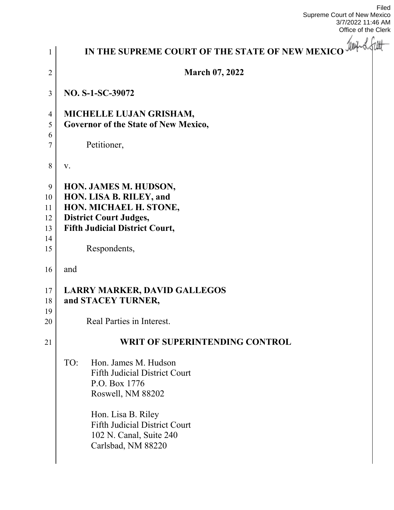Filed Supreme Court of New Mexico 3/7/2022 11:46 AM Office of the Clerk

-

| $\mathbf{1}$                          | IN THE SUPREME COURT OF THE STATE OF NEW MEXICO With of the                                                                                                                                                              |
|---------------------------------------|--------------------------------------------------------------------------------------------------------------------------------------------------------------------------------------------------------------------------|
| $\overline{2}$                        | <b>March 07, 2022</b>                                                                                                                                                                                                    |
| 3                                     | NO. S-1-SC-39072                                                                                                                                                                                                         |
| $\overline{4}$<br>5<br>6<br>7         | MICHELLE LUJAN GRISHAM,<br>Governor of the State of New Mexico,<br>Petitioner,                                                                                                                                           |
| 8                                     | V.                                                                                                                                                                                                                       |
| 9<br>10<br>11<br>12<br>13<br>14<br>15 | HON. JAMES M. HUDSON,<br>HON. LISA B. RILEY, and<br>HON. MICHAEL H. STONE,<br><b>District Court Judges,</b><br><b>Fifth Judicial District Court,</b><br>Respondents,                                                     |
| 16                                    | and                                                                                                                                                                                                                      |
| 17<br>18<br>19<br>20                  | <b>LARRY MARKER, DAVID GALLEGOS</b><br>and STACEY TURNER,<br>Real Parties in Interest.                                                                                                                                   |
| 21                                    | <b>WRIT OF SUPERINTENDING CONTROL</b>                                                                                                                                                                                    |
|                                       | TO:<br>Hon. James M. Hudson<br><b>Fifth Judicial District Court</b><br>P.O. Box 1776<br>Roswell, NM 88202<br>Hon. Lisa B. Riley<br><b>Fifth Judicial District Court</b><br>102 N. Canal, Suite 240<br>Carlsbad, NM 88220 |